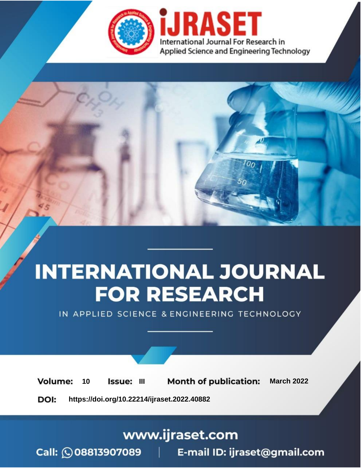

# **INTERNATIONAL JOURNAL FOR RESEARCH**

IN APPLIED SCIENCE & ENGINEERING TECHNOLOGY

10 **Issue: III Month of publication:** March 2022 **Volume:** 

**https://doi.org/10.22214/ijraset.2022.40882**DOI:

www.ijraset.com

Call: 008813907089 | E-mail ID: ijraset@gmail.com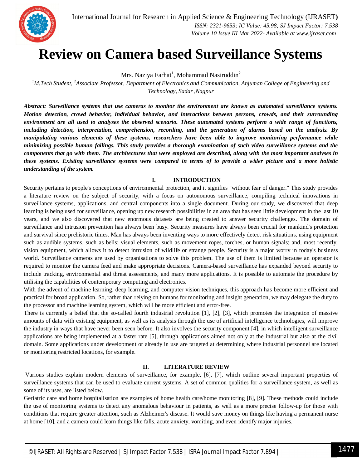

### **Review on Camera based Surveillance Systems**

Mrs. Naziya Farhat<sup>1</sup>, Mohammad Nasiruddin<sup>2</sup>

*<sup>1</sup>M.Tech Student, <sup>2</sup>Associate Professor, Department of Electronics and Communication, Anjuman College of Engineering and Technology, Sadar ,Nagpur*

*Abstract: Surveillance systems that use cameras to monitor the environment are known as automated surveillance systems. Motion detection, crowd behavior, individual behavior, and interactions between persons, crowds, and their surrounding environment are all used to analyses the observed scenario. These automated systems perform a wide range of functions, including detection, interpretation, comprehension, recording, and the generation of alarms based on the analysis. By manipulating various elements of these systems, researchers have been able to improve monitoring performance while minimizing possible human failings. This study provides a thorough examination of such video surveillance systems and the components that go with them. The architectures that were employed are described, along with the most important analyses in these systems. Existing surveillance systems were compared in terms of to provide a wider picture and a more holistic understanding of the system.*

#### **I. INTRODUCTION**

Security pertains to people's conceptions of environmental protection, and it signifies "without fear of danger." This study provides a literature review on the subject of security, with a focus on autonomous surveillance, compiling technical innovations in surveillance systems, applications, and central components into a single document. During our study, we discovered that deep learning is being used for surveillance, opening up new research possibilities in an area that has seen little development in the last 10 years, and we also discovered that new enormous datasets are being created to answer security challenges. The domain of surveillance and intrusion prevention has always been busy. Security measures have always been crucial for mankind's protection and survival since prehistoric times. Man has always been inventing ways to more effectively detect risk situations, using equipment such as audible systems, such as bells; visual elements, such as movement ropes, torches, or human signals; and, most recently, vision equipment, which allows it to detect intrusion of wildlife or strange people. Security is a major worry in today's business world. Surveillance cameras are used by organisations to solve this problem. The use of them is limited because an operator is required to monitor the camera feed and make appropriate decisions. Camera-based surveillance has expanded beyond security to include tracking, environmental and threat assessments, and many more applications. It is possible to automate the procedure by utilising the capabilities of contemporary computing and electronics.

With the advent of machine learning, deep learning, and computer vision techniques, this approach has become more efficient and practical for broad application. So, rather than relying on humans for monitoring and insight generation, we may delegate the duty to the processor and machine learning system, which will be more efficient and error-free.

There is currently a belief that the so-called fourth industrial revolution [1], [2], [3], which promotes the integration of massive amounts of data with existing equipment, as well as its analysis through the use of artificial intelligence technologies, will improve the industry in ways that have never been seen before. It also involves the security component [4], in which intelligent surveillance applications are being implemented at a faster rate [5], through applications aimed not only at the industrial but also at the civil domain. Some applications under development or already in use are targeted at determining where industrial personnel are located or monitoring restricted locations, for example.

#### **II. LITERATURE REVIEW**

Various studies explain modern elements of surveillance, for example, [6], [7], which outline several important properties of surveillance systems that can be used to evaluate current systems. A set of common qualities for a surveillance system, as well as some of its uses, are listed below.

Geriatric care and home hospitalisation are examples of home health care/home monitoring [8], [9]. These methods could include the use of monitoring systems to detect any anomalous behaviour in patients, as well as a more precise follow-up for those with conditions that require greater attention, such as Alzheimer's disease. It would save money on things like having a permanent nurse at home [10], and a camera could learn things like falls, acute anxiety, vomiting, and even identify major injuries.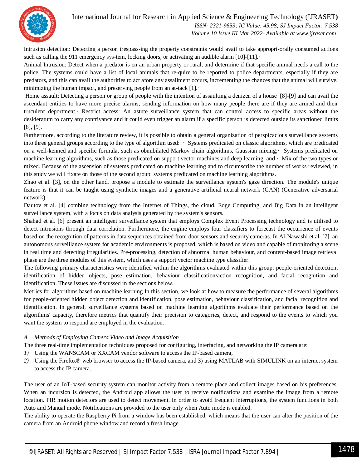International Journal for Research in Applied Science & Engineering Technology (IJRASET**)**

 *ISSN: 2321-9653; IC Value: 45.98; SJ Impact Factor: 7.538 Volume 10 Issue III Mar 2022- Available at www.ijraset.com*

Intrusion detection: Detecting a person trespass-ing the property constraints would avail to take appropri-orally consumed actions such as calling the 911 emergency sys-tem, locking doors, or activating an audible alarm  $[10]-[11]$ .

Animal Intrusion: Detect when a predator is on an urban property or rural, and determine if that specific animal needs a call to the police. The systems could have a list of local animals that re-quire to be reported to police departments, especially if they are predators, and this can avail the authorities to act afore any assailment occurs, incrementing the chances that the animal will survive, minimizing the human impact, and preserving people from an at-tack [1].·

Home assault: Detecting a person or group of people with the intention of assaulting a denizen of a house [8]-[9] and can avail the ascendant entities to have more precise alarms, sending information on how many people there are if they are armed and their truculent deportment.· Restrict access: An astute surveillance system that can control access to specific areas without the desideratum to carry any contrivance and it could even trigger an alarm if a specific person is detected outside its sanctioned limits [8], [9].

Furthermore, according to the literature review, it is possible to obtain a general organization of perspicacious surveillance systems into three general groups according to the type of algorithm used: · Systems predicated on classic algorithms, which are predicated on a well-kenned and specific formula, such as obnubilated Markov chain algorithms, Gaussian mixing;· Systems predicated on machine learning algorithms, such as those predicated on support vector machines and deep learning, and · Mix of the two types or mixed. Because of the ascension of systems predicated on machine learning and to circumscribe the number of works reviewed, in this study we will fixate on those of the second group: systems predicated on machine learning algorithms.

Zhao et al. [3], on the other hand, propose a module to estimate the surveillance system's gaze direction. The module's unique feature is that it can be taught using synthetic images and a generative artificial neural network (GAN) (Generative adversarial network).

Dautov et al. [4] combine technology from the Internet of Things, the cloud, Edge Computing, and Big Data in an intelligent surveillance system, with a focus on data analysis generated by the system's sensors.

Shahad et al. [6] present an intelligent surveillance system that employs Complex Event Processing technology and is utilised to detect intrusions through data correlation. Furthermore, the engine employs four classifiers to forecast the occurrence of events based on the recognition of patterns in data sequences obtained from door sensors and security cameras. In Al-Nawashi et al. [7], an autonomous surveillance system for academic environments is proposed, which is based on video and capable of monitoring a scene in real time and detecting irregularities. Pre-processing, detection of abnormal human behaviour, and content-based image retrieval phase are the three modules of this system, which uses a support vector machine type classifier.

The following primary characteristics were identified within the algorithms evaluated within this group: people-oriented detection, identification of hidden objects, pose estimation, behaviour classification/action recognition, and facial recognition and identification. These issues are discussed in the sections below.

Metrics for algorithms based on machine learning In this section, we look at how to measure the performance of several algorithms for people-oriented hidden object detection and identification, pose estimation, behaviour classification, and facial recognition and identification. In general, surveillance systems based on machine learning algorithms evaluate their performance based on the algorithms' capacity, therefore metrics that quantify their precision to categories, detect, and respond to the events to which you want the system to respond are employed in the evaluation.

#### *A. Methods of Employing Camera Video and Image Acquisition*

The three real-time implementation techniques proposed for configuring, interfacing, and networking the IP camera are:

- *1)* Using the WANSCAM or XXCAM vendor software to access the IP-based camera,
- *2)* Using the Firefox® web browser to access the IP-based camera, and 3) using MATLAB with SIMULINK on an internet system to access the IP camera.

The user of an IoT-based security system can monitor activity from a remote place and collect images based on his preferences. When an incursion is detected, the Android app allows the user to receive notifications and examine the image from a remote location. PIR motion detectors are used to detect movement. In order to avoid frequent interruptions, the system functions in both Auto and Manual mode. Notifications are provided to the user only when Auto mode is enabled.

The ability to operate the Raspberry Pi from a window has been established, which means that the user can alter the position of the camera from an Android phone window and record a fresh image.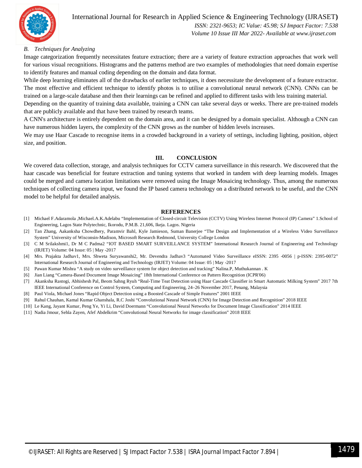

#### International Journal for Research in Applied Science & Engineering Technology (IJRASET**)**  *ISSN: 2321-9653; IC Value: 45.98; SJ Impact Factor: 7.538*

 *Volume 10 Issue III Mar 2022- Available at www.ijraset.com*

#### *B. Techniques for Analyzing*

Image categorization frequently necessitates feature extraction; there are a variety of feature extraction approaches that work well for various visual recognitions. Histograms and the patterns method are two examples of methodologies that need domain expertise to identify features and manual coding depending on the domain and data format.

While deep learning eliminates all of the drawbacks of earlier techniques, it does necessitate the development of a feature extractor. The most effective and efficient technique to identify photos is to utilise a convolutional neural network (CNN). CNNs can be trained on a large-scale database and then their learnings can be refined and applied to different tasks with less training material.

Depending on the quantity of training data available, training a CNN can take several days or weeks. There are pre-trained models that are publicly available and that have been trained by research teams.

A CNN's architecture is entirely dependent on the domain area, and it can be designed by a domain specialist. Although a CNN can have numerous hidden layers, the complexity of the CNN grows as the number of hidden levels increases.

We may use Haar Cascade to recognise items in a crowded background in a variety of settings, including lighting, position, object size, and position.

#### **III. CONCLUSION**

We covered data collection, storage, and analysis techniques for CCTV camera surveillance in this research. We discovered that the haar cascade was beneficial for feature extraction and tuning systems that worked in tandem with deep learning models. Images could be merged and camera location limitations were removed using the Image Mosaicing technology. Thus, among the numerous techniques of collecting camera input, we found the IP based camera technology on a distributed network to be useful, and the CNN model to be helpful for detailed analysis.

#### **REFERENCES**

- [1] Michael F.Adaramola ,Michael.A.K.Adelabu "Implementation of Closed-circuit Television (CCTV) Using Wireless Internet Protocol (IP) Camera" 1.School of Engineering, Lagos State Polytechnic, Ikorodu, P.M.B. 21,606, Ikeja. Lagos. Nigeria
- [2] Tan Zhang, Aakanksha Chowdhery, Paramvir Bahl, Kyle Jamieson, Suman Banerjee "The Design and Implementation of a Wireless Video Surveillance System" University of Wisconsin-Madison, Microsoft Research Redmond, University College London
- [3] C M Srilakshmi1, Dr M C Padma2 "IOT BASED SMART SURVEILLANCE SYSTEM" International Research Journal of Engineering and Technology (IRJET) Volume: 04 Issue: 05 | May -2017
- [4] Mrs. Prajakta Jadhav1, Mrs. Shweta Suryawanshi2, Mr. Devendra Jadhav3 "Automated Video Surveillance eISSN: 2395 -0056 | p-ISSN: 2395-0072" International Research Journal of Engineering and Technology (IRJET) Volume: 04 Issue: 05 | May -2017
- [5] Pawan Kumar Mishra "A study on video surveillance system for object detection and tracking" Nalina.P, Muthukannan . K
- [6] Jian Liang "Camera-Based Document Image Mosaicing" 18th International Conference on Pattern Recognition (ICPR'06)
- [7] Akanksha Rastogi, Abhishesh Pal, Beom Sahng Ryuh "Real-Time Teat Detection using Haar Cascade Classifier in Smart Automatic Milking System" 2017 7th IEEE International Conference on Control System, Computing and Engineering, 24–26 November 2017, Penang, Malaysia
- [8] Paul Viola, Michael Jones "Rapid Object Detection using a Boosted Cascade of Simple Features" 2001 IEEE
- [9] Rahul Chauhan, Kamal Kumar Ghanshala, R.C Joshi "Convolutional Neural Network (CNN) for Image Detection and Recognition" 2018 IEEE
- [10] Le Kang, Jayant Kumar, Peng Ye, Yi Li, David Doermann "Convolutional Neural Networks for Document Image Classification" 2014 IEEE
- [11] Nadia Jmour, Sehla Zayen, Afef Abdelkrim "Convolutional Neural Networks for image classification" 2018 IEEE